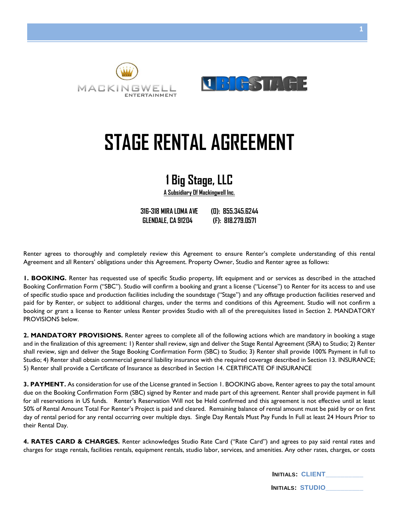



# **STAGE RENTAL AGREEMENT**

## **1 Big Stage, LLC**

**A Subsidiary Of Mackingwell Inc.**

**316-318 MIRA LOMA AVE (O): 855.345.6244 GLENDALE, CA 91204 (F): 818.279.0571**

Renter agrees to thoroughly and completely review this Agreement to ensure Renter's complete understanding of this rental Agreement and all Renters' obligations under this Agreement. Property Owner, Studio and Renter agree as follows:

**1. BOOKING.** Renter has requested use of specific Studio property, lift equipment and or services as described in the attached Booking Confirmation Form ("SBC"). Studio will confirm a booking and grant a license ("License") to Renter for its access to and use of specific studio space and production facilities including the soundstage ("Stage") and any offstage production facilities reserved and paid for by Renter, or subject to additional charges, under the terms and conditions of this Agreement. Studio will not confirm a booking or grant a license to Renter unless Renter provides Studio with all of the prerequisites listed in Section 2. MANDATORY PROVISIONS below.

**2. MANDATORY PROVISIONS.** Renter agrees to complete all of the following actions which are mandatory in booking a stage and in the finalization of this agreement: 1) Renter shall review, sign and deliver the Stage Rental Agreement (SRA) to Studio; 2) Renter shall review, sign and deliver the Stage Booking Confirmation Form (SBC) to Studio; 3) Renter shall provide 100% Payment in full to Studio; 4) Renter shall obtain commercial general liability insurance with the required coverage described in Section 13. INSURANCE; 5) Renter shall provide a Certificate of Insurance as described in Section 14. CERTIFICATE OF INSURANCE

**3. PAYMENT.** As consideration for use of the License granted in Section 1. BOOKING above, Renter agrees to pay the total amount due on the Booking Confirmation Form (SBC) signed by Renter and made part of this agreement. Renter shall provide payment in full for all reservations in US funds. Renter's Reservation Will not be Held confirmed and this agreement is not effective until at least 50% of Rental Amount Total For Renter's Project is paid and cleared. Remaining balance of rental amount must be paid by or on first day of rental period for any rental occurring over multiple days. Single Day Rentals Must Pay Funds In Full at least 24 Hours Prior to their Rental Day.

**4. RATES CARD & CHARGES.** Renter acknowledges Studio Rate Card ("Rate Card") and agrees to pay said rental rates and charges for stage rentals, facilities rentals, equipment rentals, studio labor, services, and amenities. Any other rates, charges, or costs

| <b>INITIALS: CLIENT</b> |  |
|-------------------------|--|
|                         |  |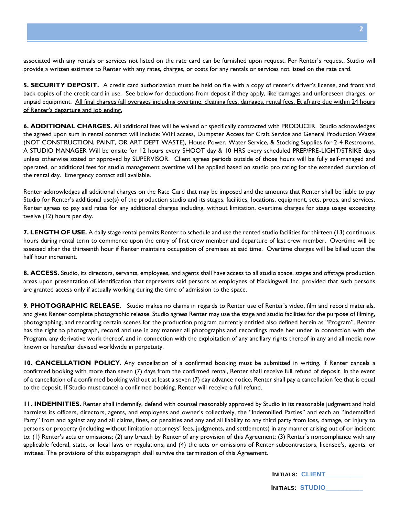associated with any rentals or services not listed on the rate card can be furnished upon request. Per Renter's request, Studio will provide a written estimate to Renter with any rates, charges, or costs for any rentals or services not listed on the rate card.

**5. SECURITY DEPOSIT.** A credit card authorization must be held on file with a copy of renter's driver's license, and front and back copies of the credit card in use. See below for deductions from deposit if they apply, like damages and unforeseen charges, or unpaid equipment. All final charges (all overages including overtime, cleaning fees, damages, rental fees, Et al) are due within 24 hours of Renter's departure and job ending.

**6. ADDITIONAL CHARGES.** All additional fees will be waived or specifically contracted with PRODUCER. Studio acknowledges the agreed upon sum in rental contract will include: WIFI access, Dumpster Access for Craft Service and General Production Waste (NOT CONSTRUCTION, PAINT, OR ART DEPT WASTE), House Power, Water Service, & Stocking Supplies for 2-4 Restrooms. A STUDIO MANAGER Will be onsite for 12 hours every SHOOT day & 10 HRS every scheduled PREP/PRE-LIGHT/STRIKE days unless otherwise stated or approved by SUPERVISOR. Client agrees periods outside of those hours will be fully self-managed and operated, or additional fees for studio management overtime will be applied based on studio pro rating for the extended duration of the rental day. Emergency contact still available.

Renter acknowledges all additional charges on the Rate Card that may be imposed and the amounts that Renter shall be liable to pay Studio for Renter's additional use(s) of the production studio and its stages, facilities, locations, equipment, sets, props, and services. Renter agrees to pay said rates for any additional charges including, without limitation, overtime charges for stage usage exceeding twelve (12) hours per day.

**7. LENGTH OF USE.** A daily stage rental permits Renter to schedule and use the rented studio facilities for thirteen (13) continuous hours during rental term to commence upon the entry of first crew member and departure of last crew member. Overtime will be assessed after the thirteenth hour if Renter maintains occupation of premises at said time. Overtime charges will be billed upon the half hour increment.

**8. ACCESS.** Studio, its directors, servants, employees, and agents shall have access to all studio space, stages and offstage production areas upon presentation of identification that represents said persons as employees of Mackingwell Inc. provided that such persons are granted access only if actually working during the time of admission to the space.

**9**. **PHOTOGRAPHIC RELEASE**. Studio makes no claims in regards to Renter use of Renter's video, film and record materials, and gives Renter complete photographic release. Studio agrees Renter may use the stage and studio facilities for the purpose of filming, photographing, and recording certain scenes for the production program currently entitled also defined herein as "Program". Renter has the right to photograph, record and use in any manner all photographs and recordings made her under in connection with the Program, any derivative work thereof, and in connection with the exploitation of any ancillary rights thereof in any and all media now known or hereafter devised worldwide in perpetuity.

**10. CANCELLATION POLICY**. Any cancellation of a confirmed booking must be submitted in writing. If Renter cancels a confirmed booking with more than seven (7) days from the confirmed rental, Renter shall receive full refund of deposit. In the event of a cancellation of a confirmed booking without at least a seven (7) day advance notice, Renter shall pay a cancellation fee that is equal to the deposit. If Studio must cancel a confirmed booking, Renter will receive a full refund.

**11. INDEMNITIES.** Renter shall indemnify, defend with counsel reasonably approved by Studio in its reasonable judgment and hold harmless its officers, directors, agents, and employees and owner's collectively, the "Indemnified Parties" and each an "Indemnified Party" from and against any and all claims, fines, or penalties and any and all liability to any third party from loss, damage, or injury to persons or property (including without limitation attorneys' fees, judgments, and settlements) in any manner arising out of or incident to: (1) Renter's acts or omissions; (2) any breach by Renter of any provision of this Agreement; (3) Renter's noncompliance with any applicable federal, state, or local laws or regulations; and (4) the acts or omissions of Renter subcontractors, licensee's, agents, or invitees. The provisions of this subparagraph shall survive the termination of this Agreement.

| <b>INITIALS: CLIENT</b> |  |
|-------------------------|--|
|-------------------------|--|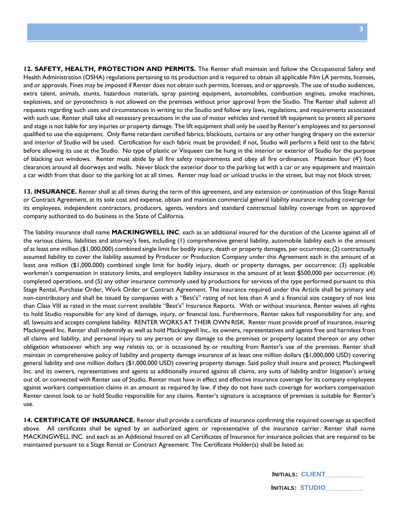**12. SAFETY, HEALTH, PROTECTION AND PERMITS.** The Renter shall maintain and follow the Occupational Safety and Health Administration (OSHA) regulations pertaining to its production and is required to obtain all applicable Film LA permits, licenses, and or approvals. Fines may be imposed if Renter does not obtain such permits, licenses, and or approvals. The use of studio audiences, extra talent, animals, stunts, hazardous materials, spray painting equipment, automobiles, combustion engines, smoke machines, explosives, and or pyrotechnics is not allowed on the premises without prior approval from the Studio. The Renter shall submit all requests regarding such uses and circumstances in writing to the Studio and follow any laws, regulations, and requirements associated with such use. Renter shall take all necessary precautions in the use of motor vehicles and rented lift equipment to protect all persons and stage is not liable for any injuries or property damage. The lift equipment shall only be used by Renter's employees and its personnel qualified to use the equipment. Only flame retardant certified fabrics, blackouts, curtains or any other hanging drapery on the exterior and interior of Studio will be used. Certification for each fabric must be provided; if not, Studio will perform a field test to the fabric before allowing its use at the Studio. No type of plastic or Visqueen can be hung in the interior or exterior of Studio for the purpose of blacking out windows. Renter must abide by all fire safety requirements and obey all fire ordinances. Maintain four (4') foot clearances around all doorways and walls. Never block the exterior door to the parking lot with a car or any equipment and maintain a car width from that door to the parking lot at all times. Renter may load or unload trucks in the street, but may not block street.

**13. INSURANCE.** Renter shall at all times during the term of this agreement, and any extension or continuation of this Stage Rental or Contract Agreement, at its sole cost and expense, obtain and maintain commercial general liability insurance including coverage for its employees, independent contractors, producers, agents, vendors and standard contractual liability coverage from an approved company authorized to do business in the State of California.

The liability insurance shall name **MACKINGWELL INC**. each as an additional insured for the duration of the License against all of the various claims, liabilities and attorney's fees, including (1) comprehensive general liability, automobile liability each in the amount of at least one million (\$1,000,000) combined single limit for bodily injury, death or property damages, per occurrence; (2) contractually assumed liability to cover the liability assumed by Producer or Production Company under this Agreement each in the amount of at least one million (\$1,000,000) combined single limit for bodily injury, death or property damages, per occurrence; (3) applicable workmen's compensation in statutory limits, and employers liability insurance in the amount of at least \$500,000 per occurrence: (4) completed operations, and (5) any other insurance commonly used by productions for services of the type performed pursuant to this Stage Rental, Purchase Order, Work Order or Contract Agreement. The insurance required under this Article shall be primary and non-contributory and shall be issued by companies with a "Best's" rating of not less than A and a financial size category of not less than Class VIII as rated in the most current available "Best's" Insurance Reports. With or without insurance, Renter waives all rights to hold Studio responsible for any kind of damage, injury, or financial loss. Furthermore, Renter takes full responsibility for any, and all, lawsuits and accepts complete liability. RENTER WORKS AT THEIR OWN RISK. Renter must provide proof of insurance, insuring Mackingwell Inc. Renter shall indemnify as well as hold Mackingwell lnc., its owners, representatives and agents free and harmless from all claims and liability, and personal injury to any person or any damage to the premises or property located thereon or any other obligation whatsoever which any way relates to, or is occasioned by or resulting from Renter's use of the premises. Renter shall maintain in comprehensive policy of liability and property damage insurance of at least one million dollars (\$1,000,000 USD) covering general liability and one million dollars (\$1,000,000 USD) covering property damage. Said policy shall insure and protect; Mackingwell Inc. and its owners, representatives and agents as additionally insured against all claims, any suits of liability and/or litigation's arising out of, or connected with Renter use of Studio. Renter must have in effect and effective insurance coverage for its company employees against workers compensation claims in an amount as required by law, if they do not have such coverage for workers compensation Renter cannot look to or hold Studio responsible for any claims. Renter's signature is acceptance of premises is suitable for Renter's use.

**14. CERTIFICATE OF INSURANCE.** Renter shall provide a certificate of insurance confirming the required coverage as specified above. All certificates shall be signed by an authorized agent or representative of the insurance carrier. Renter shall name MACKINGWELL INC. and each as an Additional Insured on all Certificates of Insurance for insurance policies that are required to be maintained pursuant to a Stage Rental or Contract Agreement. The Certificate Holder(s) shall be listed as:

| <b>INITIALS: CLIENT</b> |  |
|-------------------------|--|
|                         |  |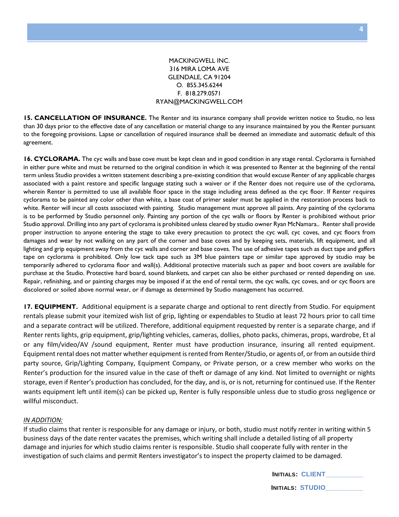#### MACKINGWELL INC. 316 MIRA LOMA AVE GLENDALE, CA 91204 O. 855.345.6244 F. 818.279.0571 RYAN@MACKINGWELL.COM

**15. CANCELLATION OF INSURANCE.** The Renter and its insurance company shall provide written notice to Studio, no less than 30 days prior to the effective date of any cancellation or material change to any insurance maintained by you the Renter pursuant to the foregoing provisions. Lapse or cancellation of required insurance shall be deemed an immediate and automatic default of this agreement.

**16. CYCLORAMA.** The cyc walls and base cove must be kept clean and in good condition in any stage rental. Cyclorama is furnished in either pure white and must be returned to the original condition in which it was presented to Renter at the beginning of the rental term unless Studio provides a written statement describing a pre-existing condition that would excuse Renter of any applicable charges associated with a paint restore and specific language stating such a waiver or if the Renter does not require use of the cyclorama, wherein Renter is permitted to use all available floor space in the stage including areas defined as the cyc floor. If Renter requires cyclorama to be painted any color other than white, a base coat of primer sealer must be applied in the restoration process back to white. Renter will incur all costs associated with painting. Studio management must approve all paints. Any painting of the cyclorama is to be performed by Studio personnel only. Painting any portion of the cyc walls or floors by Renter is prohibited without prior Studio approval. Drilling into any part of cyclorama is prohibited unless cleared by studio owner Ryan McNamara.. Renter shall provide proper instruction to anyone entering the stage to take every precaution to protect the cyc wall, cyc coves, and cyc floors from damages and wear by not walking on any part of the corner and base coves and by keeping sets, materials, lift equipment, and all lighting and grip equipment away from the cyc walls and corner and base coves. The use of adhesive tapes such as duct tape and gaffers tape on cyclorama is prohibited. Only low tack tape such as 3M blue painters tape or similar tape approved by studio may be temporarily adhered to cyclorama floor and wall(s). Additional protective materials such as paper and boot covers are available for purchase at the Studio. Protective hard board, sound blankets, and carpet can also be either purchased or rented depending on use. Repair, refinishing, and or painting charges may be imposed if at the end of rental term, the cyc walls, cyc coves, and or cyc floors are discolored or soiled above normal wear, or if damage as determined by Studio management has occurred.

**17. EQUIPMENT.** Additional equipment is a separate charge and optional to rent directly from Studio. For equipment rentals please submit your itemized wish list of grip, lighting or expendables to Studio at least 72 hours prior to call time and a separate contract will be utilized. Therefore, additional equipment requested by renter is a separate charge, and if Renter rents lights, grip equipment, grip/lighting vehicles, cameras, dollies, photo packs, chimeras, props, wardrobe, Et al or any film/video/AV /sound equipment, Renter must have production insurance, insuring all rented equipment. Equipment rental does not matter whether equipment is rented from Renter/Studio, or agents of, or from an outside third party source, Grip/Lighting Company, Equipment Company, or Private person, or a crew member who works on the Renter's production for the insured value in the case of theft or damage of any kind. Not limited to overnight or nights storage, even if Renter's production has concluded, for the day, and is, or is not, returning for continued use. If the Renter wants equipment left until item(s) can be picked up, Renter is fully responsible unless due to studio gross negligence or willful misconduct.

#### *IN ADDITION:*

If studio claims that renter is responsible for any damage or injury, or both, studio must notify renter in writing within 5 business days of the date renter vacates the premises, which writing shall include a detailed listing of all property damage and injuries for which studio claims renter is responsible. Studio shall cooperate fully with renter in the investigation of such claims and permit Renters investigator's to inspect the property claimed to be damaged.

|                         | <b>INITIALS: CLIENT</b> |
|-------------------------|-------------------------|
| <b>INITIALS: STUDIO</b> |                         |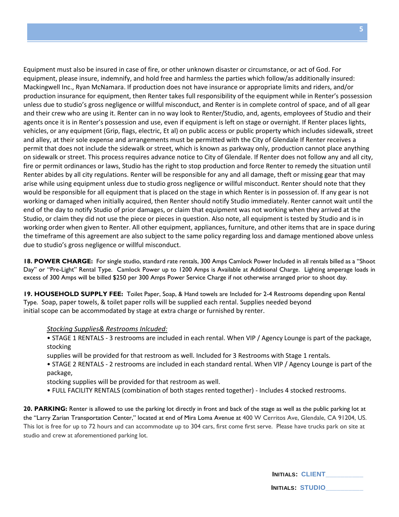Equipment must also be insured in case of fire, or other unknown disaster or circumstance, or act of God. For equipment, please insure, indemnify, and hold free and harmless the parties which follow/as additionally insured: Mackingwell Inc., Ryan McNamara. If production does not have insurance or appropriate limits and riders, and/or production insurance for equipment, then Renter takes full responsibility of the equipment while in Renter's possession unless due to studio's gross negligence or willful misconduct, and Renter is in complete control of space, and of all gear and their crew who are using it. Renter can in no way look to Renter/Studio, and, agents, employees of Studio and their agents once it is in Renter's possession and use, even if equipment is left on stage or overnight. If Renter places lights, vehicles, or any equipment (Grip, flags, electric, Et al) on public access or public property which includes sidewalk, street and alley, at their sole expense and arrangements must be permitted with the City of Glendale If Renter receives a permit that does not include the sidewalk or street, which is known as parkway only, production cannot place anything on sidewalk or street. This process requires advance notice to City of Glendale. If Renter does not follow any and all city, fire or permit ordinances or laws, Studio has the right to stop production and force Renter to remedy the situation until Renter abides by all city regulations. Renter will be responsible for any and all damage, theft or missing gear that may arise while using equipment unless due to studio gross negligence or willful misconduct. Renter should note that they would be responsible for all equipment that is placed on the stage in which Renter is in possession of. If any gear is not working or damaged when initially acquired, then Renter should notify Studio immediately. Renter cannot wait until the end of the day to notify Studio of prior damages, or claim that equipment was not working when they arrived at the Studio, or claim they did not use the piece or pieces in question. Also note, all equipment is tested by Studio and is in working order when given to Renter. All other equipment, appliances, furniture, and other items that are in space during the timeframe of this agreement are also subject to the same policy regarding loss and damage mentioned above unless due to studio's gross negligence or willful misconduct.

**18. POWER CHARGE:** For single studio, standard rate rentals, 300 Amps Camlock Power Included in all rentals billed as a "Shoot Day" or "Pre-Light" Rental Type. Camlock Power up to 1200 Amps is Available at Additional Charge. Lighting amperage loads in excess of 300 Amps will be billed \$250 per 300 Amps Power Service Charge if not otherwise arranged prior to shoot day.

**19. HOUSEHOLD SUPPLY FEE:** Toilet Paper, Soap, & Hand towels are Included for 2-4 Restrooms depending upon Rental Type. Soap, paper towels, & toilet paper rolls will be supplied each rental. Supplies needed beyond initial scope can be accommodated by stage at extra charge or furnished by renter.

#### *Stocking Supplies& Restrooms Inlcuded:*

- STAGE 1 RENTALS 3 restrooms are included in each rental. When VIP / Agency Lounge is part of the package, stocking
- supplies will be provided for that restroom as well. Included for 3 Restrooms with Stage 1 rentals.
- STAGE 2 RENTALS 2 restrooms are included in each standard rental. When VIP / Agency Lounge is part of the package,

stocking supplies will be provided for that restroom as well.

• FULL FACILITY RENTALS (combination of both stages rented together) - Includes 4 stocked restrooms.

**20. PARKING:** Renter is allowed to use the parking lot directly in front and back of the stage as well as the public parking lot at the "Larry Zarian Transportation Center," located at end of Mira Loma Avenue at 400 W Cerritos Ave, Glendale, CA 91204, US. This lot is free for up to 72 hours and can accommodate up to 304 cars, first come first serve. Please have trucks park on site at studio and crew at aforementioned parking lot.

| <b>INITIALS: CLIENT</b> |
|-------------------------|
|-------------------------|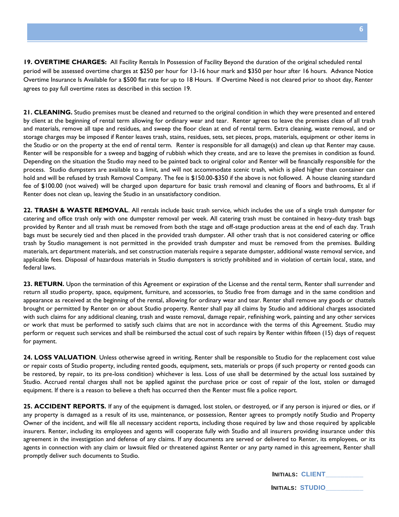**19. OVERTIME CHARGES:** All Facility Rentals In Possession of Facility Beyond the duration of the original scheduled rental period will be assessed overtime charges at \$250 per hour for 13-16 hour mark and \$350 per hour after 16 hours. Advance Notice Overtime Insurance Is Available for a \$500 flat rate for up to 18 Hours. If Overtime Need is not cleared prior to shoot day, Renter agrees to pay full overtime rates as described in this section 19.

**21. CLEANING.** Studio premises must be cleaned and returned to the original condition in which they were presented and entered by client at the beginning of rental term allowing for ordinary wear and tear. Renter agrees to leave the premises clean of all trash and materials, remove all tape and residues, and sweep the floor clean at end of rental term. Extra cleaning, waste removal, and or storage charges may be imposed if Renter leaves trash, stains, residues, sets, set pieces, props, materials, equipment or other items in the Studio or on the property at the end of rental term. Renter is responsible for all damage(s) and clean up that Renter may cause. Renter will be responsible for a sweep and bagging of rubbish which they create, and are to leave the premises in condition as found. Depending on the situation the Studio may need to be painted back to original color and Renter will be financially responsible for the process. Studio dumpsters are available to a limit, and will not accommodate scenic trash, which is piled higher than container can hold and will be refused by trash Removal Company. The fee is \$150.00-\$350 if the above is not followed. A house cleaning standard fee of \$100.00 (not waived) will be charged upon departure for basic trash removal and cleaning of floors and bathrooms, Et al if Renter does not clean up, leaving the Studio in an unsatisfactory condition.

**22. TRASH & WASTE REMOVAL**. All rentals include basic trash service, which includes the use of a single trash dumpster for catering and office trash only with one dumpster removal per week. All catering trash must be contained in heavy-duty trash bags provided by Renter and all trash must be removed from both the stage and off-stage production areas at the end of each day. Trash bags must be securely tied and then placed in the provided trash dumpster. All other trash that is not considered catering or office trash by Studio management is not permitted in the provided trash dumpster and must be removed from the premises. Building materials, art department materials, and set construction materials require a separate dumpster, additional waste removal service, and applicable fees. Disposal of hazardous materials in Studio dumpsters is strictly prohibited and in violation of certain local, state, and federal laws.

**23. RETURN.** Upon the termination of this Agreement or expiration of the License and the rental term, Renter shall surrender and return all studio property, space, equipment, furniture, and accessories, to Studio free from damage and in the same condition and appearance as received at the beginning of the rental, allowing for ordinary wear and tear. Renter shall remove any goods or chattels brought or permitted by Renter on or about Studio property. Renter shall pay all claims by Studio and additional charges associated with such claims for any additional cleaning, trash and waste removal, damage repair, refinishing work, painting and any other services or work that must be performed to satisfy such claims that are not in accordance with the terms of this Agreement. Studio may perform or request such services and shall be reimbursed the actual cost of such repairs by Renter within fifteen (15) days of request for payment.

**24. LOSS VALUATION**. Unless otherwise agreed in writing, Renter shall be responsible to Studio for the replacement cost value or repair costs of Studio property, including rented goods, equipment, sets, materials or props (if such property or rented goods can be restored, by repair, to its pre-loss condition) whichever is less. Loss of use shall be determined by the actual loss sustained by Studio. Accrued rental charges shall not be applied against the purchase price or cost of repair of the lost, stolen or damaged equipment. If there is a reason to believe a theft has occurred then the Renter must file a police report.

**25. ACCIDENT REPORTS.** If any of the equipment is damaged, lost stolen, or destroyed, or if any person is injured or dies, or if any property is damaged as a result of its use, maintenance, or possession, Renter agrees to promptly notify Studio and Property Owner of the incident, and will file all necessary accident reports, including those required by law and those required by applicable insurers. Renter, including its employees and agents will cooperate fully with Studio and all insurers providing insurance under this agreement in the investigation and defense of any claims. If any documents are served or delivered to Renter, its employees, or its agents in connection with any claim or lawsuit filed or threatened against Renter or any party named in this agreement, Renter shall promptly deliver such documents to Studio.

| <b>INITIALS: CLIENT</b> |  |
|-------------------------|--|
| <b>INITIALS: STUDIO</b> |  |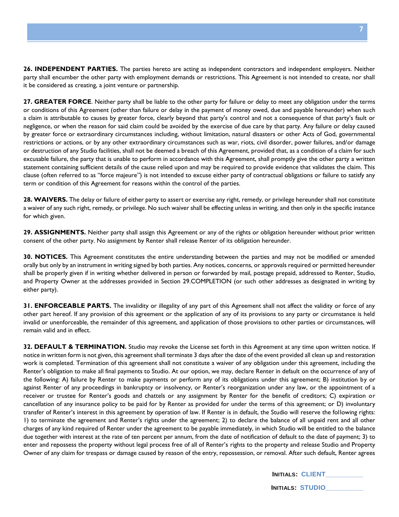**26. INDEPENDENT PARTIES.** The parties hereto are acting as independent contractors and independent employers. Neither party shall encumber the other party with employment demands or restrictions. This Agreement is not intended to create, nor shall it be considered as creating, a joint venture or partnership.

**27. GREATER FORCE**. Neither party shall be liable to the other party for failure or delay to meet any obligation under the terms or conditions of this Agreement (other than failure or delay in the payment of money owed, due and payable hereunder) when such a claim is attributable to causes by greater force, clearly beyond that party's control and not a consequence of that party's fault or negligence, or when the reason for said claim could be avoided by the exercise of due care by that party. Any failure or delay caused by greater force or extraordinary circumstances including, without limitation, natural disasters or other Acts of God, governmental restrictions or actions, or by any other extraordinary circumstances such as war, riots, civil disorder, power failures, and/or damage or destruction of any Studio facilities, shall not be deemed a breach of this Agreement, provided that, as a condition of a claim for such excusable failure, the party that is unable to perform in accordance with this Agreement, shall promptly give the other party a written statement containing sufficient details of the cause relied upon and may be required to provide evidence that validates the claim. This clause (often referred to as "force majeure") is not intended to excuse either party of contractual obligations or failure to satisfy any term or condition of this Agreement for reasons within the control of the parties.

**28. WAIVERS.** The delay or failure of either party to assert or exercise any right, remedy, or privilege hereunder shall not constitute a waiver of any such right, remedy, or privilege. No such waiver shall be effecting unless in writing, and then only in the specific instance for which given.

**29. ASSIGNMENTS.** Neither party shall assign this Agreement or any of the rights or obligation hereunder without prior written consent of the other party. No assignment by Renter shall release Renter of its obligation hereunder.

**30. NOTICES.** This Agreement constitutes the entire understanding between the parties and may not be modified or amended orally but only by an instrument in writing signed by both parties. Any notices, concerns, or approvals required or permitted hereunder shall be properly given if in writing whether delivered in person or forwarded by mail, postage prepaid, addressed to Renter, Studio, and Property Owner at the addresses provided in Section 29.COMPLETION (or such other addresses as designated in writing by either party).

**31. ENFORCEABLE PARTS.** The invalidity or illegality of any part of this Agreement shall not affect the validity or force of any other part hereof. If any provision of this agreement or the application of any of its provisions to any party or circumstance is held invalid or unenforceable, the remainder of this agreement, and application of those provisions to other parties or circumstances, will remain valid and in effect.

**32. DEFAULT & TERMINATION.** Studio may revoke the License set forth in this Agreement at any time upon written notice. If notice in written form is not given, this agreement shall terminate 3 days after the date of the event provided all clean up and restoration work is completed. Termination of this agreement shall not constitute a waiver of any obligation under this agreement, including the Renter's obligation to make all final payments to Studio. At our option, we may, declare Renter in default on the occurrence of any of the following: A) failure by Renter to make payments or perform any of its obligations under this agreement; B) institution by or against Renter of any proceedings in bankruptcy or insolvency, or Renter's reorganization under any law, or the appointment of a receiver or trustee for Renter's goods and chattels or any assignment by Renter for the benefit of creditors; C) expiration or cancellation of any insurance policy to be paid for by Renter as provided for under the terms of this agreement; or D) involuntary transfer of Renter's interest in this agreement by operation of law. If Renter is in default, the Studio will reserve the following rights: 1) to terminate the agreement and Renter's rights under the agreement; 2) to declare the balance of all unpaid rent and all other charges of any kind required of Renter under the agreement to be payable immediately, in which Studio will be entitled to the balance due together with interest at the rate of ten percent per annum, from the date of notification of default to the date of payment; 3) to enter and repossess the property without legal process free of all of Renter's rights to the property and release Studio and Property Owner of any claim for trespass or damage caused by reason of the entry, repossession, or removal. After such default, Renter agrees

| <b>INITIALS: CLIENT</b> |  |
|-------------------------|--|
|                         |  |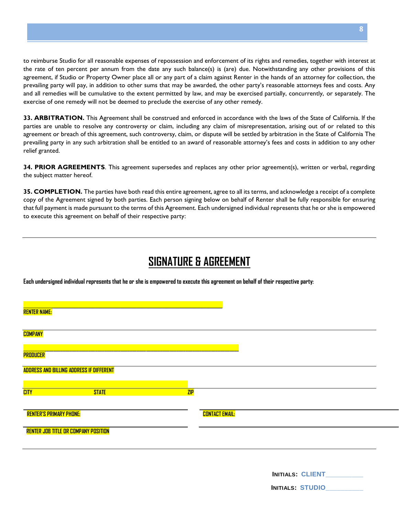to reimburse Studio for all reasonable expenses of repossession and enforcement of its rights and remedies, together with interest at the rate of ten percent per annum from the date any such balance(s) is (are) due. Notwithstanding any other provisions of this agreement, if Studio or Property Owner place all or any part of a claim against Renter in the hands of an attorney for collection, the prevailing party will pay, in addition to other sums that may be awarded, the other party's reasonable attorneys fees and costs. Any and all remedies will be cumulative to the extent permitted by law, and may be exercised partially, concurrently, or separately. The exercise of one remedy will not be deemed to preclude the exercise of any other remedy.

**33. ARBITRATION.** This Agreement shall be construed and enforced in accordance with the laws of the State of California. If the parties are unable to resolve any controversy or claim, including any claim of misrepresentation, arising out of or related to this agreement or breach of this agreement, such controversy, claim, or dispute will be settled by arbitration in the State of California The prevailing party in any such arbitration shall be entitled to an award of reasonable attorney's fees and costs in addition to any other relief granted.

**34. PRIOR AGREEMENTS**. This agreement supersedes and replaces any other prior agreement(s), written or verbal, regarding the subject matter hereof.

**35. COMPLETION.** The parties have both read this entire agreement, agree to all its terms, and acknowledge a receipt of a complete copy of the Agreement signed by both parties. Each person signing below on behalf of Renter shall be fully responsible for ensuring that full payment is made pursuant to the terms of this Agreement. Each undersigned individual represents that he or she is empowered to execute this agreement on behalf of their respective party:

### **SIGNATURE & AGREEMENT**

**Each undersigned individual represents that he or she is empowered to execute this agreement on behalf of their respective party:**

| <b>RENTER NAME:</b>                             |                       |                         |
|-------------------------------------------------|-----------------------|-------------------------|
|                                                 |                       |                         |
| <b>COMPANY</b>                                  |                       |                         |
| <b>PRODUCER</b>                                 |                       |                         |
| <b>ADDRESS AND BILLING ADDRESS IF DIFFERENT</b> |                       |                         |
|                                                 |                       |                         |
| <b>CITY</b><br><b>STATE</b>                     | ZIP                   |                         |
| <b>RENTER'S PRIMARY PHONE:</b>                  | <b>CONTACT EMAIL:</b> |                         |
| <b>RENTER JOB TITLE OR COMPANY POSITION</b>     |                       |                         |
|                                                 |                       |                         |
|                                                 |                       |                         |
|                                                 |                       | <b>INITIALS: CLIENT</b> |